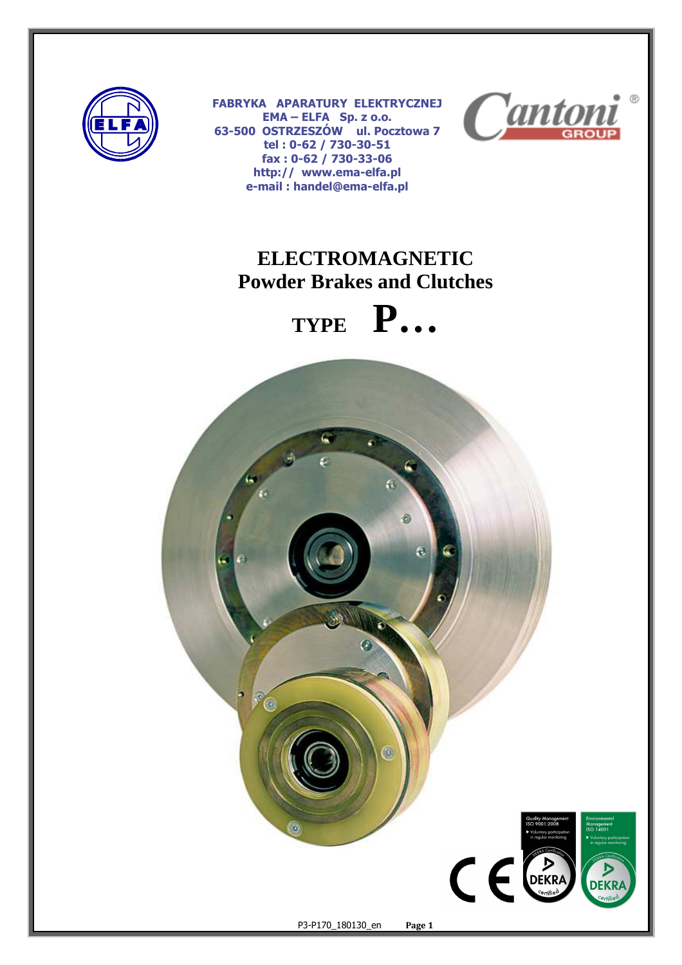

٦

**FABRYKA APARATURY ELEKTRYCZNEJ EMA – ELFA Sp. z o.o. 63-500 OSTRZESZÓW ul. Pocztowa 7 tel : 0-62 / 730-30-51 fax : 0-62 / 730-33-06 http:// www.ema-elfa.pl e-mail : handel@ema-elfa.pl** 



# **ELECTROMAGNETIC Powder Brakes and Clutches**



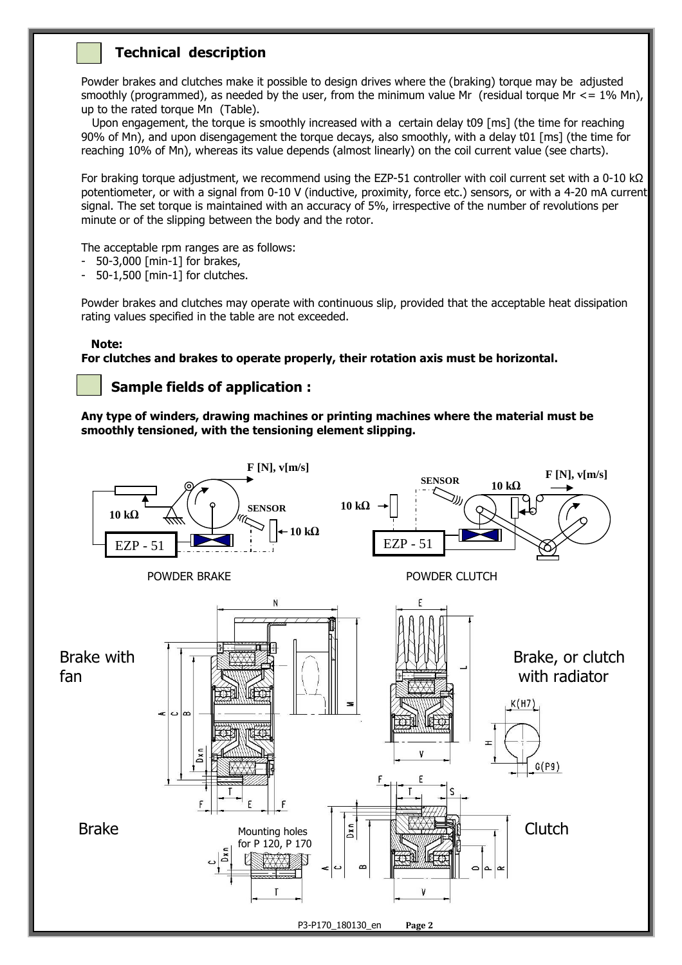## **Technical description**

Powder brakes and clutches make it possible to design drives where the (braking) torque may be adjusted smoothly (programmed), as needed by the user, from the minimum value Mr (residual torque Mr  $\leq$  = 1% Mn), up to the rated torque Mn (Table).

 Upon engagement, the torque is smoothly increased with a certain delay t09 [ms] (the time for reaching 90% of Mn), and upon disengagement the torque decays, also smoothly, with a delay t01 [ms] (the time for reaching 10% of Mn), whereas its value depends (almost linearly) on the coil current value (see charts).

For braking torque adjustment, we recommend using the EZP-51 controller with coil current set with a 0-10 kΩ potentiometer, or with a signal from 0-10 V (inductive, proximity, force etc.) sensors, or with a 4-20 mA current signal. The set torque is maintained with an accuracy of 5%, irrespective of the number of revolutions per minute or of the slipping between the body and the rotor.

The acceptable rpm ranges are as follows:

- 50-3,000 [min-1] for brakes,
- 50-1,500 [min-1] for clutches.

Powder brakes and clutches may operate with continuous slip, provided that the acceptable heat dissipation rating values specified in the table are not exceeded.

### **Note:**

**For clutches and brakes to operate properly, their rotation axis must be horizontal.** 

## **Sample fields of application :**

**Any type of winders, drawing machines or printing machines where the material must be smoothly tensioned, with the tensioning element slipping.** 

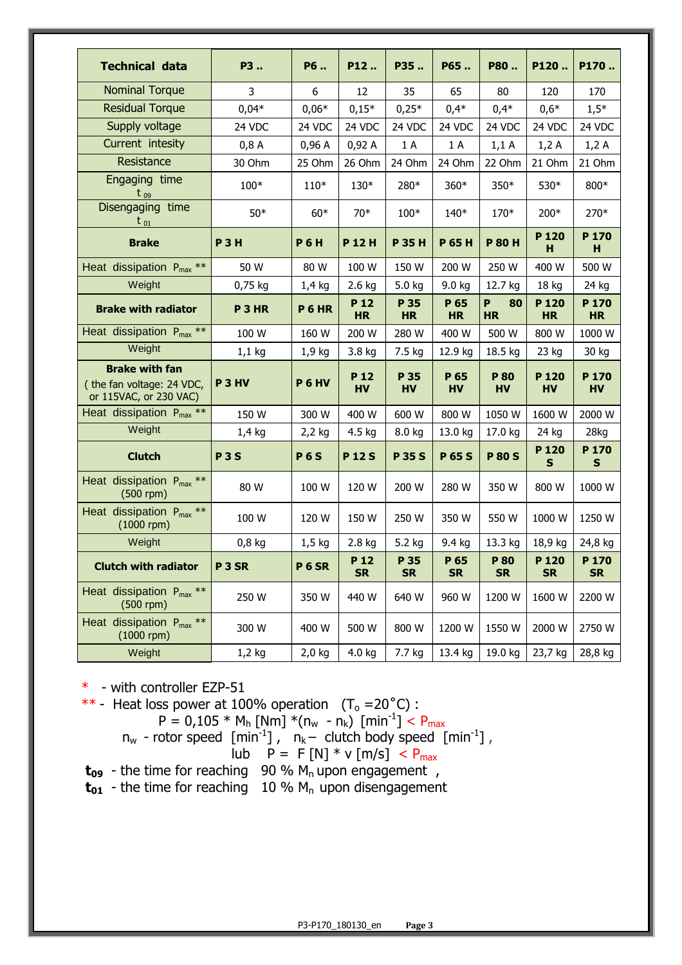| <b>Technical data</b>                                                        | P3                | P6                | P12                          | P35               | P65                          | P80                  | P120                          | P170                          |
|------------------------------------------------------------------------------|-------------------|-------------------|------------------------------|-------------------|------------------------------|----------------------|-------------------------------|-------------------------------|
| <b>Nominal Torque</b>                                                        | 3                 | 6                 | 12                           | 35                | 65                           | 80                   | 120                           | 170                           |
| <b>Residual Torque</b>                                                       | $0,04*$           | $0,06*$           | $0,15*$                      | $0,25*$           | $0,4*$                       | $0,4*$               | $0,6*$                        | $1,5*$                        |
| Supply voltage                                                               | 24 VDC            | 24 VDC            | 24 VDC                       | 24 VDC            | 24 VDC                       | 24 VDC               | 24 VDC                        | 24 VDC                        |
| Current intesity                                                             | 0,8A              | 0,96A             | 0,92A                        | 1 A               | 1 A                          | 1,1A                 | 1,2A                          | 1,2A                          |
| Resistance                                                                   | 30 Ohm            | 25 Ohm            | 26 Ohm                       | 24 Ohm            | 24 Ohm                       | 22 Ohm               | 21 Ohm                        | 21 Ohm                        |
| Engaging time<br>$t_{09}$                                                    | 100*              | $110*$            | 130*                         | 280*              | $360*$                       | 350*                 | 530*                          | 800*                          |
| Disengaging time<br>$t_{01}$                                                 | $50*$             | $60*$             | $70*$                        | $100*$            | $140*$                       | 170*                 | 200*                          | 270*                          |
| <b>Brake</b>                                                                 | <b>P3H</b>        | <b>P6H</b>        | P 12H                        | <b>P35H</b>       | <b>P 65 H</b>                | <b>P 80 H</b>        | P <sub>120</sub><br>н         | P <sub>170</sub><br>н         |
| Heat dissipation $P_{max}$ **                                                | 50 W              | 80 W              | 100 W                        | 150 W             | 200 W                        | 250 W                | 400 W                         | 500 W                         |
| Weight                                                                       | 0,75 kg           | $1,4$ kg          | 2.6 kg                       | 5.0 kg            | 9.0 kg                       | 12.7 kg              | 18 kg                         | 24 kg                         |
| <b>Brake with radiator</b>                                                   | P <sub>3</sub> HR | P6HR              | P <sub>12</sub><br><b>HR</b> | P 35<br><b>HR</b> | P <sub>65</sub><br><b>HR</b> | P<br>80<br><b>HR</b> | P <sub>120</sub><br><b>HR</b> | P <sub>170</sub><br><b>HR</b> |
| Heat dissipation $P_{max}$ **                                                | 100 W             | 160 W             | 200 W                        | 280 W             | 400 W                        | 500 W                | 800 W                         | 1000 W                        |
| Weight                                                                       | $1,1$ kg          | 1,9 kg            | 3.8 kg                       | 7.5 kg            | 12.9 kg                      | 18.5 kg              | 23 kg                         | 30 kg                         |
| <b>Brake with fan</b><br>(the fan voltage: 24 VDC,<br>or 115VAC, or 230 VAC) | P <sub>3</sub> HV | <b>P 6 HV</b>     | P <sub>12</sub><br><b>HV</b> | P 35<br><b>HV</b> | P <sub>65</sub><br><b>HV</b> | P 80<br><b>HV</b>    | P <sub>120</sub><br><b>HV</b> | P <sub>170</sub><br><b>HV</b> |
| Heat dissipation $P_{max}$ **                                                | 150 W             | 300 W             | 400 W                        | 600 W             | 800 W                        | 1050 W               | 1600 W                        | 2000 W                        |
| Weight                                                                       | $1,4$ kg          | $2,2$ kg          | 4.5 kg                       | 8.0 kg            | 13.0 kg                      | 17.0 kg              | 24 kg                         | 28kg                          |
| <b>Clutch</b>                                                                | <b>P3S</b>        | <b>P6S</b>        | <b>P12S</b>                  | <b>P35S</b>       | <b>P65S</b>                  | <b>P 80 S</b>        | P <sub>120</sub><br>S         | P <sub>170</sub><br>S         |
| Heat dissipation $P_{max}$ **<br>$(500$ rpm $)$                              | 80 W              | 100 W             | 120 W                        | 200 W             | 280 W                        | 350 W                | 800 W                         | 1000 W                        |
| Heat dissipation $P_{max}$ **<br>$(1000$ rpm $)$                             | 100 W             | 120 W             | 150 W                        | 250 W             | 350 W                        | 550 W                | 1000 W                        | 1250 W                        |
| Weight                                                                       | $0,8$ kg          | $1,5$ kg          | 2.8 kg                       | 5.2 kg            | 9.4 kg                       | 13.3 kg              | 18,9 kg                       | 24,8 kg                       |
| <b>Clutch with radiator</b>                                                  | P <sub>3</sub> SR | P <sub>6</sub> SR | P <sub>12</sub><br><b>SR</b> | P 35<br><b>SR</b> | P 65<br><b>SR</b>            | P 80<br><b>SR</b>    | P <sub>120</sub><br><b>SR</b> | P <sub>170</sub><br><b>SR</b> |
| Heat dissipation $P_{max}$ **<br>$(500$ rpm $)$                              | 250 W             | 350 W             | 440 W                        | 640 W             | 960 W                        | 1200 W               | 1600 W                        | 2200 W                        |
| Heat dissipation P <sub>max</sub> **<br>$(1000$ rpm $)$                      | 300 W             | 400 W             | 500 W                        | 800 W             | 1200 W                       | 1550 W               | 2000 W                        | 2750 W                        |
| Weight                                                                       | $1,2$ kg          | $2,0$ kg          | 4.0 kg                       | 7.7 kg            | 13.4 kg                      | 19.0 kg              | 23,7 kg                       | 28,8 kg                       |

\* - with controller EZP-51

\*\* - Heat loss power at 100% operation  $(T_0 = 20^{\circ}C)$ :

$$
P = 0,105 * M_h \text{ [Nm]} * (n_w - n_k) \text{ [min}^{-1}] < P_{\text{max}}
$$
  
n<sub>w</sub> - rotor speed [min<sup>-1</sup>], n<sub>k</sub> - clutch body speed [min<sup>-1</sup>],  
lub P = F [N] \* v [m/s] < P\_{\text{max}}

**t09** - the time for reaching 90 % Mn upon engagement ,

**t<sub>01</sub>** - the time for reaching 10 % M<sub>n</sub> upon disengagement